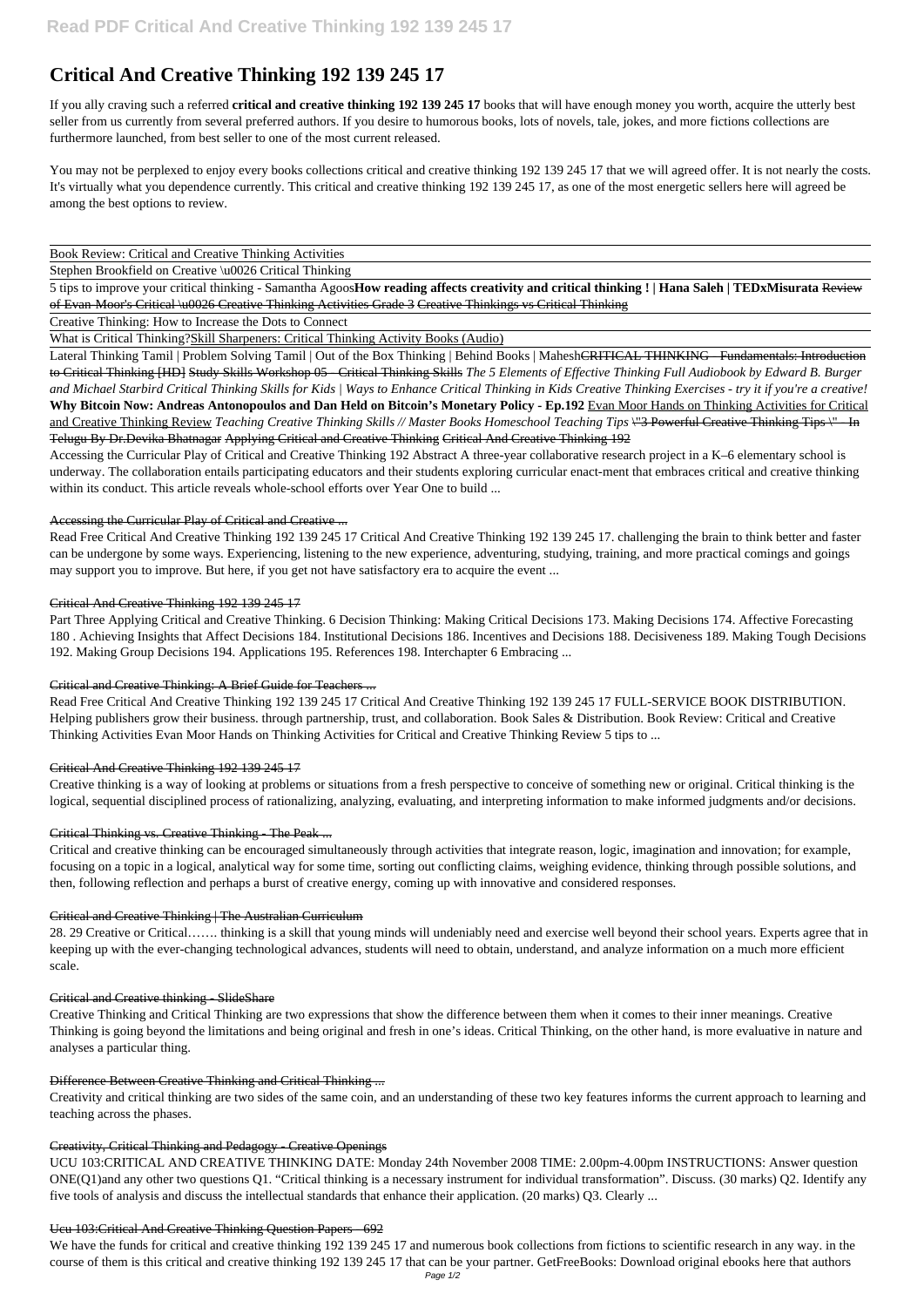# **Critical And Creative Thinking 192 139 245 17**

If you ally craving such a referred **critical and creative thinking 192 139 245 17** books that will have enough money you worth, acquire the utterly best seller from us currently from several preferred authors. If you desire to humorous books, lots of novels, tale, jokes, and more fictions collections are furthermore launched, from best seller to one of the most current released.

You may not be perplexed to enjoy every books collections critical and creative thinking 192 139 245 17 that we will agreed offer. It is not nearly the costs. It's virtually what you dependence currently. This critical and creative thinking 192 139 245 17, as one of the most energetic sellers here will agreed be among the best options to review.

Book Review: Critical and Creative Thinking Activities

Stephen Brookfield on Creative \u0026 Critical Thinking

5 tips to improve your critical thinking - Samantha Agoos**How reading affects creativity and critical thinking ! | Hana Saleh | TEDxMisurata** Review of Evan-Moor's Critical \u0026 Creative Thinking Activities Grade 3 Creative Thinkings vs Critical Thinking

Lateral Thinking Tamil | Problem Solving Tamil | Out of the Box Thinking | Behind Books | Mahesh<del>CRITICAL THINKING - Fundamentals: Introduction</del> to Critical Thinking [HD] Study Skills Workshop 05 - Critical Thinking Skills *The 5 Elements of Effective Thinking Full Audiobook by Edward B. Burger and Michael Starbird Critical Thinking Skills for Kids | Ways to Enhance Critical Thinking in Kids Creative Thinking Exercises - try it if you're a creative!* **Why Bitcoin Now: Andreas Antonopoulos and Dan Held on Bitcoin's Monetary Policy - Ep.192** Evan Moor Hands on Thinking Activities for Critical and Creative Thinking Review *Teaching Creative Thinking Skills // Master Books Homeschool Teaching Tips* \"3 Powerful Creative Thinking Tips \" - In Telugu By Dr.Devika Bhatnagar Applying Critical and Creative Thinking Critical And Creative Thinking 192

Accessing the Curricular Play of Critical and Creative Thinking 192 Abstract A three-year collaborative research project in a K–6 elementary school is underway. The collaboration entails participating educators and their students exploring curricular enact-ment that embraces critical and creative thinking within its conduct. This article reveals whole-school efforts over Year One to build ...

Creative Thinking: How to Increase the Dots to Connect

What is Critical Thinking?Skill Sharpeners: Critical Thinking Activity Books (Audio)

# Accessing the Curricular Play of Critical and Creative ...

Read Free Critical And Creative Thinking 192 139 245 17 Critical And Creative Thinking 192 139 245 17. challenging the brain to think better and faster can be undergone by some ways. Experiencing, listening to the new experience, adventuring, studying, training, and more practical comings and goings may support you to improve. But here, if you get not have satisfactory era to acquire the event ...

# Critical And Creative Thinking 192 139 245 17

Part Three Applying Critical and Creative Thinking. 6 Decision Thinking: Making Critical Decisions 173. Making Decisions 174. Affective Forecasting 180 . Achieving Insights that Affect Decisions 184. Institutional Decisions 186. Incentives and Decisions 188. Decisiveness 189. Making Tough Decisions 192. Making Group Decisions 194. Applications 195. References 198. Interchapter 6 Embracing ...

We have the funds for critical and creative thinking 192 139 245 17 and numerous book collections from fictions to scientific research in any way. in the course of them is this critical and creative thinking 192 139 245 17 that can be your partner. GetFreeBooks: Download original ebooks here that authors Page 1/2

# Critical and Creative Thinking: A Brief Guide for Teachers ...

Read Free Critical And Creative Thinking 192 139 245 17 Critical And Creative Thinking 192 139 245 17 FULL-SERVICE BOOK DISTRIBUTION. Helping publishers grow their business. through partnership, trust, and collaboration. Book Sales & Distribution. Book Review: Critical and Creative Thinking Activities Evan Moor Hands on Thinking Activities for Critical and Creative Thinking Review 5 tips to ...

#### Critical And Creative Thinking 192 139 245 17

Creative thinking is a way of looking at problems or situations from a fresh perspective to conceive of something new or original. Critical thinking is the logical, sequential disciplined process of rationalizing, analyzing, evaluating, and interpreting information to make informed judgments and/or decisions.

# Critical Thinking vs. Creative Thinking - The Peak ...

Critical and creative thinking can be encouraged simultaneously through activities that integrate reason, logic, imagination and innovation; for example, focusing on a topic in a logical, analytical way for some time, sorting out conflicting claims, weighing evidence, thinking through possible solutions, and then, following reflection and perhaps a burst of creative energy, coming up with innovative and considered responses.

#### Critical and Creative Thinking | The Australian Curriculum

28. 29 Creative or Critical……. thinking is a skill that young minds will undeniably need and exercise well beyond their school years. Experts agree that in keeping up with the ever-changing technological advances, students will need to obtain, understand, and analyze information on a much more efficient scale.

#### Critical and Creative thinking - SlideShare

Creative Thinking and Critical Thinking are two expressions that show the difference between them when it comes to their inner meanings. Creative Thinking is going beyond the limitations and being original and fresh in one's ideas. Critical Thinking, on the other hand, is more evaluative in nature and analyses a particular thing.

#### Difference Between Creative Thinking and Critical Thinking ...

Creativity and critical thinking are two sides of the same coin, and an understanding of these two key features informs the current approach to learning and teaching across the phases.

#### Creativity, Critical Thinking and Pedagogy - Creative Openings

UCU 103:CRITICAL AND CREATIVE THINKING DATE: Monday 24th November 2008 TIME: 2.00pm-4.00pm INSTRUCTIONS: Answer question ONE(Q1)and any other two questions Q1. "Critical thinking is a necessary instrument for individual transformation". Discuss. (30 marks) Q2. Identify any five tools of analysis and discuss the intellectual standards that enhance their application. (20 marks) Q3. Clearly ...

#### Ucu 103:Critical And Creative Thinking Question Papers - 692